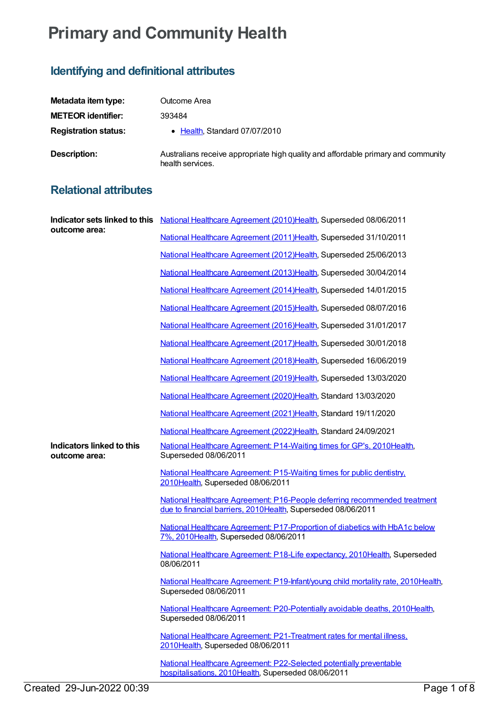## **Primary and Community Health**

## **Identifying and definitional attributes**

| Metadata item type:         | Outcome Area                                                                                          |
|-----------------------------|-------------------------------------------------------------------------------------------------------|
| <b>METEOR identifier:</b>   | 393484                                                                                                |
| <b>Registration status:</b> | • Health, Standard 07/07/2010                                                                         |
| Description:                | Australians receive appropriate high quality and affordable primary and community<br>health services. |

## **Relational attributes**

| outcome area:                              | Indicator sets linked to this National Healthcare Agreement (2010) Health, Superseded 08/06/2011                                          |
|--------------------------------------------|-------------------------------------------------------------------------------------------------------------------------------------------|
|                                            | National Healthcare Agreement (2011) Health, Superseded 31/10/2011                                                                        |
|                                            | National Healthcare Agreement (2012)Health, Superseded 25/06/2013                                                                         |
|                                            | National Healthcare Agreement (2013)Health, Superseded 30/04/2014                                                                         |
|                                            | National Healthcare Agreement (2014)Health, Superseded 14/01/2015                                                                         |
|                                            | National Healthcare Agreement (2015)Health, Superseded 08/07/2016                                                                         |
|                                            | National Healthcare Agreement (2016)Health, Superseded 31/01/2017                                                                         |
|                                            | National Healthcare Agreement (2017) Health, Superseded 30/01/2018                                                                        |
|                                            | National Healthcare Agreement (2018)Health, Superseded 16/06/2019                                                                         |
|                                            | National Healthcare Agreement (2019)Health, Superseded 13/03/2020                                                                         |
|                                            | National Healthcare Agreement (2020)Health, Standard 13/03/2020                                                                           |
|                                            | National Healthcare Agreement (2021)Health, Standard 19/11/2020                                                                           |
|                                            | National Healthcare Agreement (2022)Health, Standard 24/09/2021                                                                           |
| Indicators linked to this<br>outcome area: | National Healthcare Agreement: P14-Waiting times for GP's, 2010 Health,<br>Superseded 08/06/2011                                          |
|                                            | National Healthcare Agreement: P15-Waiting times for public dentistry.<br>2010Health, Superseded 08/06/2011                               |
|                                            | National Healthcare Agreement: P16-People deferring recommended treatment<br>due to financial barriers, 2010Health, Superseded 08/06/2011 |
|                                            | National Healthcare Agreement: P17-Proportion of diabetics with HbA1c below<br>7%, 2010Health, Superseded 08/06/2011                      |
|                                            | National Healthcare Agreement: P18-Life expectancy, 2010Health, Superseded<br>08/06/2011                                                  |
|                                            | National Healthcare Agreement: P19-Infant/young child mortality rate, 2010Health,<br>Superseded 08/06/2011                                |
|                                            | National Healthcare Agreement: P20-Potentially avoidable deaths, 2010Health,<br>Superseded 08/06/2011                                     |
|                                            | National Healthcare Agreement: P21-Treatment rates for mental illness,<br>2010Health, Superseded 08/06/2011                               |
|                                            | National Healthcare Agreement: P22-Selected potentially preventable<br>hospitalisations, 2010Health, Superseded 08/06/2011                |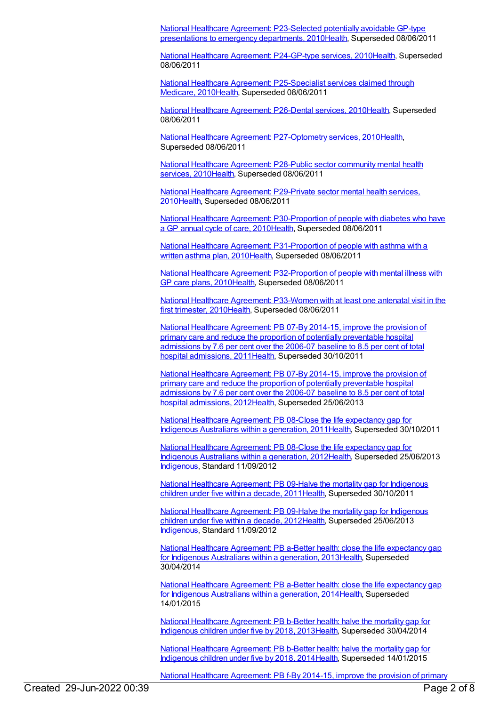National Healthcare Agreement: [P23-Selected](https://meteor.aihw.gov.au/content/394721) potentially avoidable GP-type presentations to emergency departments, 201[0Health](https://meteor.aihw.gov.au/RegistrationAuthority/12), Superseded 08/06/2011

National Healthcare Agreement: [P24-GP-type](https://meteor.aihw.gov.au/content/394776) services, 201[0Health](https://meteor.aihw.gov.au/RegistrationAuthority/12), Superseded 08/06/2011

National Healthcare Agreement: [P25-Specialist](https://meteor.aihw.gov.au/content/394822) services claimed through Medicare, 201[0Health](https://meteor.aihw.gov.au/RegistrationAuthority/12), Superseded 08/06/2011

National Healthcare [Agreement:](https://meteor.aihw.gov.au/content/394906) P26-Dental services, 201[0Health](https://meteor.aihw.gov.au/RegistrationAuthority/12), Superseded 08/06/2011

National Healthcare Agreement: [P27-Optometry](https://meteor.aihw.gov.au/content/394928) services, 201[0Health](https://meteor.aihw.gov.au/RegistrationAuthority/12), Superseded 08/06/2011

National Healthcare [Agreement:](https://meteor.aihw.gov.au/content/394946) P28-Public sector community mental health services. 201[0Health](https://meteor.aihw.gov.au/RegistrationAuthority/12), Superseded 08/06/2011

National Healthcare Agreement: [P29-Private](https://meteor.aihw.gov.au/content/394959) sector mental health services, 201[0Health](https://meteor.aihw.gov.au/RegistrationAuthority/12), Superseded 08/06/2011

National Healthcare Agreement: [P30-Proportion](https://meteor.aihw.gov.au/content/394962) of people with diabetes who have a GP annual cycle of care, 201[0Health](https://meteor.aihw.gov.au/RegistrationAuthority/12), Superseded 08/06/2011

National Healthcare Agreement: [P31-Proportion](https://meteor.aihw.gov.au/content/394978) of people with asthma with a written asthma plan, 201[0Health](https://meteor.aihw.gov.au/RegistrationAuthority/12), Superseded 08/06/2011

National Healthcare Agreement: [P32-Proportion](https://meteor.aihw.gov.au/content/394996) of people with mental illness with GP care plans, 2010[Health](https://meteor.aihw.gov.au/RegistrationAuthority/12), Superseded 08/06/2011

National Healthcare Agreement: [P33-Women](https://meteor.aihw.gov.au/content/395008) with at least one antenatal visit in the first trimester, 2010[Health,](https://meteor.aihw.gov.au/RegistrationAuthority/12) Superseded 08/06/2011

National Healthcare [Agreement:](https://meteor.aihw.gov.au/content/429180) PB 07-By 2014-15, improve the provision of primary care and reduce the proportion of potentially preventable hospital admissions by 7.6 per cent over the 2006-07 baseline to 8.5 per cent of total hospital admissions, 201[1Health](https://meteor.aihw.gov.au/RegistrationAuthority/12), Superseded 30/10/2011

National Healthcare [Agreement:](https://meteor.aihw.gov.au/content/443697) PB 07-By 2014-15, improve the provision of primary care and reduce the proportion of potentially preventable hospital admissions by 7.6 per cent over the 2006-07 baseline to 8.5 per cent of total hospital admissions, 201[2Health](https://meteor.aihw.gov.au/RegistrationAuthority/12), Superseded 25/06/2013

National Healthcare [Agreement:](https://meteor.aihw.gov.au/content/429190) PB 08-Close the life expectancy gap for Indigenous Australians within a generation, 2011[Health](https://meteor.aihw.gov.au/RegistrationAuthority/12), Superseded 30/10/2011

National Healthcare [Agreement:](https://meteor.aihw.gov.au/content/443701) PB 08-Close the life expectancy gap for Indigenous Australians within a generation, 2012[Health](https://meteor.aihw.gov.au/RegistrationAuthority/12), Superseded 25/06/2013 [Indigenous](https://meteor.aihw.gov.au/RegistrationAuthority/6), Standard 11/09/2012

National Healthcare [Agreement:](https://meteor.aihw.gov.au/content/429297) PB 09-Halve the mortality gap for Indigenous children under five within a decade, 201[1Health](https://meteor.aihw.gov.au/RegistrationAuthority/12), Superseded 30/10/2011

National Healthcare [Agreement:](https://meteor.aihw.gov.au/content/443707) PB 09-Halve the mortality gap for Indigenous children under five within a decade, 201[2Health](https://meteor.aihw.gov.au/RegistrationAuthority/12), Superseded 25/06/2013 [Indigenous](https://meteor.aihw.gov.au/RegistrationAuthority/6), Standard 11/09/2012

National Healthcare [Agreement:](https://meteor.aihw.gov.au/content/498359) PB a-Better health: close the life expectancy gap for Indigenous Australians within a generation, 201[3Health](https://meteor.aihw.gov.au/RegistrationAuthority/12), Superseded 30/04/2014

National Healthcare [Agreement:](https://meteor.aihw.gov.au/content/517704) PB a-Better health: close the life expectancy gap for Indigenous Australians within a generation, 2014 Health, Superseded 14/01/2015

National Healthcare [Agreement:](https://meteor.aihw.gov.au/content/498356) PB b-Better health: halve the mortality gap for Indigenous children under five by 2018, 2013[Health](https://meteor.aihw.gov.au/RegistrationAuthority/12), Superseded 30/04/2014

National Healthcare [Agreement:](https://meteor.aihw.gov.au/content/517701) PB b-Better health: halve the mortality gap for Indigenous children under five by 2018, 2014[Health](https://meteor.aihw.gov.au/RegistrationAuthority/12), Superseded 14/01/2015

National Healthcare Agreement: PB f-By 2014-15, improve the provision of primary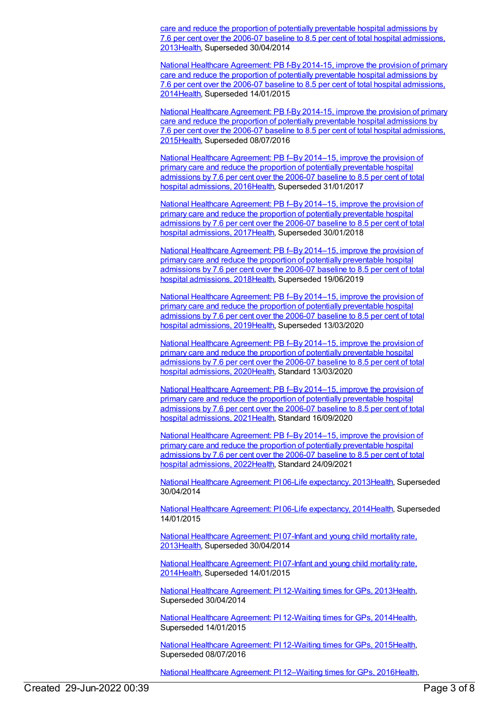care and reduce the proportion of potentially preventable hospital admissions by 7.6 per cent over the 2006-07 baseline to 8.5 per cent of total hospital [admissions,](https://meteor.aihw.gov.au/content/498329) 201[3Health](https://meteor.aihw.gov.au/RegistrationAuthority/12), Superseded 30/04/2014

National Healthcare Agreement: PB f-By 2014-15, improve the provision of primary care and reduce the proportion of potentially preventable hospital admissions by 7.6 per cent over the 2006-07 baseline to 8.5 per cent of total hospital [admissions,](https://meteor.aihw.gov.au/content/517692) 201[4Health](https://meteor.aihw.gov.au/RegistrationAuthority/12), Superseded 14/01/2015

National Healthcare Agreement: PB f-By 2014-15, improve the provision of primary care and reduce the proportion of potentially preventable hospital admissions by 7.6 per cent over the 2006-07 baseline to 8.5 per cent of total hospital [admissions,](https://meteor.aihw.gov.au/content/559070) 201[5Health](https://meteor.aihw.gov.au/RegistrationAuthority/12), Superseded 08/07/2016

National Healthcare [Agreement:](https://meteor.aihw.gov.au/content/598851) PB f–By 2014–15, improve the provision of primary care and reduce the proportion of potentially preventable hospital admissions by 7.6 per cent over the 2006-07 baseline to 8.5 per cent of total hospital admissions, 201[6Health](https://meteor.aihw.gov.au/RegistrationAuthority/12), Superseded 31/01/2017

National Healthcare [Agreement:](https://meteor.aihw.gov.au/content/629980) PB f–By 2014–15, improve the provision of primary care and reduce the proportion of potentially preventable hospital admissions by 7.6 per cent over the 2006-07 baseline to 8.5 per cent of total hospital admissions, 201[7Health](https://meteor.aihw.gov.au/RegistrationAuthority/12), Superseded 30/01/2018

National Healthcare [Agreement:](https://meteor.aihw.gov.au/content/658538) PB f–By 2014–15, improve the provision of primary care and reduce the proportion of potentially preventable hospital admissions by 7.6 per cent over the 2006-07 baseline to 8.5 per cent of total hospital admissions, 201[8Health](https://meteor.aihw.gov.au/RegistrationAuthority/12), Superseded 19/06/2019

National Healthcare [Agreement:](https://meteor.aihw.gov.au/content/698942) PB f–By 2014–15, improve the provision of primary care and reduce the proportion of potentially preventable hospital admissions by 7.6 per cent over the 2006-07 baseline to 8.5 per cent of total hospital admissions, 201[9Health](https://meteor.aihw.gov.au/RegistrationAuthority/12), Superseded 13/03/2020

National Healthcare [Agreement:](https://meteor.aihw.gov.au/content/716265) PB f–By 2014–15, improve the provision of primary care and reduce the proportion of potentially preventable hospital admissions by 7.6 per cent over the 2006-07 baseline to 8.5 per cent of total hospital admissions, 202[0Health](https://meteor.aihw.gov.au/RegistrationAuthority/12), Standard 13/03/2020

National Healthcare [Agreement:](https://meteor.aihw.gov.au/content/725832) PB f–By 2014–15, improve the provision of primary care and reduce the proportion of potentially preventable hospital admissions by 7.6 per cent over the 2006-07 baseline to 8.5 per cent of total hospital admissions, 202[1Health](https://meteor.aihw.gov.au/RegistrationAuthority/12), Standard 16/09/2020

National Healthcare [Agreement:](https://meteor.aihw.gov.au/content/740898) PB f–By 2014–15, improve the provision of primary care and reduce the proportion of potentially preventable hospital admissions by 7.6 per cent over the 2006-07 baseline to 8.5 per cent of total hospital admissions, 202[2Health](https://meteor.aihw.gov.au/RegistrationAuthority/12), Standard 24/09/2021

National Healthcare Agreement: PI 06-Life [expectancy,](https://meteor.aihw.gov.au/content/498187) 2013[Health](https://meteor.aihw.gov.au/RegistrationAuthority/12), Superseded 30/04/2014

National Healthcare Agreement: PI 06-Life [expectancy,](https://meteor.aihw.gov.au/content/517676) 2014[Health](https://meteor.aihw.gov.au/RegistrationAuthority/12), Superseded 14/01/2015

National Healthcare [Agreement:](https://meteor.aihw.gov.au/content/498177) PI 07-Infant and young child mortality rate, 201[3Health](https://meteor.aihw.gov.au/RegistrationAuthority/12), Superseded 30/04/2014

National Healthcare [Agreement:](https://meteor.aihw.gov.au/content/517673) PI 07-Infant and young child mortality rate, 201[4Health](https://meteor.aihw.gov.au/RegistrationAuthority/12), Superseded 14/01/2015

National Healthcare [Agreement:](https://meteor.aihw.gov.au/content/497366) PI 12-Waiting times for GPs, 201[3Health](https://meteor.aihw.gov.au/RegistrationAuthority/12), Superseded 30/04/2014

National Healthcare [Agreement:](https://meteor.aihw.gov.au/content/517663) PI 12-Waiting times for GPs, 201[4Health](https://meteor.aihw.gov.au/RegistrationAuthority/12), Superseded 14/01/2015

National Healthcare [Agreement:](https://meteor.aihw.gov.au/content/559044) PI 12-Waiting times for GPs, 201[5Health](https://meteor.aihw.gov.au/RegistrationAuthority/12), Superseded 08/07/2016

National Healthcare [Agreement:](https://meteor.aihw.gov.au/content/598758) PI 12–Waiting times for GPs, 201[6Health](https://meteor.aihw.gov.au/RegistrationAuthority/12),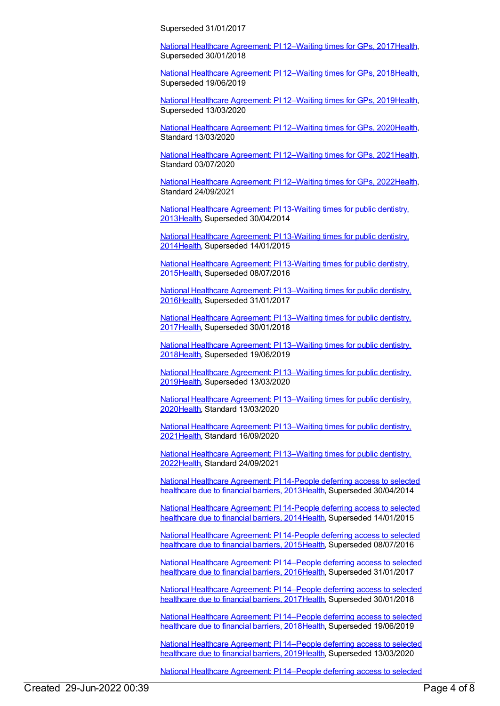Superseded 31/01/2017

National Healthcare [Agreement:](https://meteor.aihw.gov.au/content/630014) PI 12-Waiting times for GPs, 2017 Health, Superseded 30/01/2018

National Healthcare [Agreement:](https://meteor.aihw.gov.au/content/658511) PI 12–Waiting times for GPs, 201[8Health](https://meteor.aihw.gov.au/RegistrationAuthority/12), Superseded 19/06/2019

National Healthcare [Agreement:](https://meteor.aihw.gov.au/content/698916) PI 12–Waiting times for GPs, 201[9Health](https://meteor.aihw.gov.au/RegistrationAuthority/12), Superseded 13/03/2020

National Healthcare [Agreement:](https://meteor.aihw.gov.au/content/716400) PI 12–Waiting times for GPs, 202[0Health](https://meteor.aihw.gov.au/RegistrationAuthority/12), Standard 13/03/2020

National Healthcare [Agreement:](https://meteor.aihw.gov.au/content/725805) PI 12–Waiting times for GPs, 202[1Health](https://meteor.aihw.gov.au/RegistrationAuthority/12), Standard 03/07/2020

National Healthcare [Agreement:](https://meteor.aihw.gov.au/content/740872) PI 12–Waiting times for GPs, 202[2Health](https://meteor.aihw.gov.au/RegistrationAuthority/12), Standard 24/09/2021

National Healthcare [Agreement:](https://meteor.aihw.gov.au/content/497262) PI 13-Waiting times for public dentistry, 201[3Health](https://meteor.aihw.gov.au/RegistrationAuthority/12), Superseded 30/04/2014

National Healthcare [Agreement:](https://meteor.aihw.gov.au/content/517658) PI 13-Waiting times for public dentistry, 201[4Health](https://meteor.aihw.gov.au/RegistrationAuthority/12), Superseded 14/01/2015

National Healthcare [Agreement:](https://meteor.aihw.gov.au/content/559042) PI 13-Waiting times for public dentistry, 201[5Health](https://meteor.aihw.gov.au/RegistrationAuthority/12), Superseded 08/07/2016

National Healthcare [Agreement:](https://meteor.aihw.gov.au/content/602211) PI 13–Waiting times for public dentistry, 201[6Health](https://meteor.aihw.gov.au/RegistrationAuthority/12), Superseded 31/01/2017

National Healthcare [Agreement:](https://meteor.aihw.gov.au/content/630017) PI 13–Waiting times for public dentistry, 201[7Health](https://meteor.aihw.gov.au/RegistrationAuthority/12), Superseded 30/01/2018

National Healthcare [Agreement:](https://meteor.aihw.gov.au/content/658509) PI 13–Waiting times for public dentistry, 201[8Health](https://meteor.aihw.gov.au/RegistrationAuthority/12), Superseded 19/06/2019

National Healthcare [Agreement:](https://meteor.aihw.gov.au/content/698914) PI 13–Waiting times for public dentistry, 201[9Health](https://meteor.aihw.gov.au/RegistrationAuthority/12), Superseded 13/03/2020

National Healthcare [Agreement:](https://meteor.aihw.gov.au/content/716453) PI 13–Waiting times for public dentistry, 202[0Health](https://meteor.aihw.gov.au/RegistrationAuthority/12), Standard 13/03/2020

National Healthcare [Agreement:](https://meteor.aihw.gov.au/content/725803) PI 13–Waiting times for public dentistry, 202[1Health](https://meteor.aihw.gov.au/RegistrationAuthority/12), Standard 16/09/2020

National Healthcare [Agreement:](https://meteor.aihw.gov.au/content/740870) PI 13–Waiting times for public dentistry, 202[2Health](https://meteor.aihw.gov.au/RegistrationAuthority/12), Standard 24/09/2021

National Healthcare [Agreement:](https://meteor.aihw.gov.au/content/497252) PI 14-People deferring access to selected healthcare due to financial barriers, 201[3Health](https://meteor.aihw.gov.au/RegistrationAuthority/12), Superseded 30/04/2014

National Healthcare [Agreement:](https://meteor.aihw.gov.au/content/517656) PI 14-People deferring access to selected healthcare due to financial barriers, 201[4Health](https://meteor.aihw.gov.au/RegistrationAuthority/12), Superseded 14/01/2015

National Healthcare [Agreement:](https://meteor.aihw.gov.au/content/559040) PI 14-People deferring access to selected healthcare due to financial barriers, 201[5Health](https://meteor.aihw.gov.au/RegistrationAuthority/12), Superseded 08/07/2016

National Healthcare [Agreement:](https://meteor.aihw.gov.au/content/598754) PI 14–People deferring access to selected healthcare due to financial barriers, 201[6Health](https://meteor.aihw.gov.au/RegistrationAuthority/12), Superseded 31/01/2017

National Healthcare [Agreement:](https://meteor.aihw.gov.au/content/630020) PI 14–People deferring access to selected healthcare due to financial barriers, 2017 Health, Superseded 30/01/2018

National Healthcare [Agreement:](https://meteor.aihw.gov.au/content/658507) PI 14–People deferring access to selected healthcare due to financial barriers, 201[8Health](https://meteor.aihw.gov.au/RegistrationAuthority/12), Superseded 19/06/2019

National Healthcare [Agreement:](https://meteor.aihw.gov.au/content/698912) PI 14–People deferring access to selected healthcare due to financial barriers, 201[9Health](https://meteor.aihw.gov.au/RegistrationAuthority/12), Superseded 13/03/2020

National Healthcare [Agreement:](https://meteor.aihw.gov.au/content/716458) PI 14–People deferring access to selected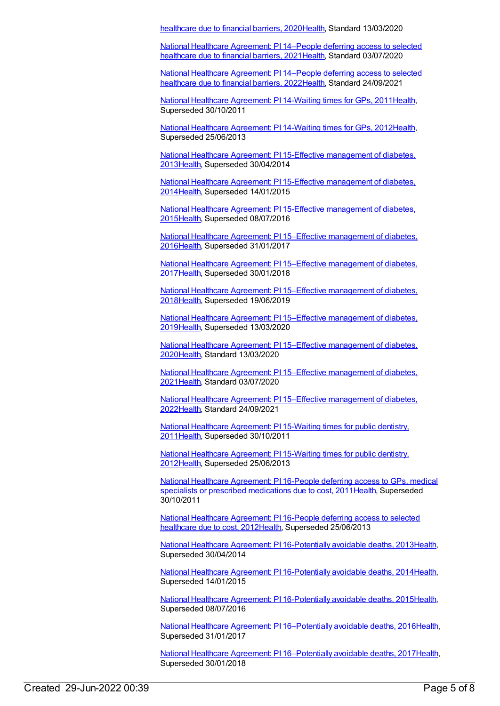healthcare due to financial barriers, 202[0Health](https://meteor.aihw.gov.au/RegistrationAuthority/12), Standard 13/03/2020

National Healthcare [Agreement:](https://meteor.aihw.gov.au/content/725801) PI 14–People deferring access to selected healthcare due to financial barriers, 202[1Health](https://meteor.aihw.gov.au/RegistrationAuthority/12), Standard 03/07/2020

National Healthcare [Agreement:](https://meteor.aihw.gov.au/content/740868) PI 14–People deferring access to selected healthcare due to financial barriers, 202[2Health](https://meteor.aihw.gov.au/RegistrationAuthority/12), Standard 24/09/2021

National Healthcare [Agreement:](https://meteor.aihw.gov.au/content/402424) PI 14-Waiting times for GPs, 201[1Health](https://meteor.aihw.gov.au/RegistrationAuthority/12), Superseded 30/10/2011

National Healthcare [Agreement:](https://meteor.aihw.gov.au/content/436845) PI 14-Waiting times for GPs, 201[2Health](https://meteor.aihw.gov.au/RegistrationAuthority/12), Superseded 25/06/2013

National Healthcare Agreement: PI 15-Effective [management](https://meteor.aihw.gov.au/content/497246) of diabetes, 201[3Health](https://meteor.aihw.gov.au/RegistrationAuthority/12), Superseded 30/04/2014

National Healthcare Agreement: PI 15-Effective [management](https://meteor.aihw.gov.au/content/517654) of diabetes, 201[4Health](https://meteor.aihw.gov.au/RegistrationAuthority/12), Superseded 14/01/2015

National Healthcare Agreement: PI 15-Effective [management](https://meteor.aihw.gov.au/content/559038) of diabetes, 201[5Health](https://meteor.aihw.gov.au/RegistrationAuthority/12), Superseded 08/07/2016

National Healthcare Agreement: PI 15–Effective [management](https://meteor.aihw.gov.au/content/598752) of diabetes, 201[6Health](https://meteor.aihw.gov.au/RegistrationAuthority/12), Superseded 31/01/2017

National Healthcare Agreement: PI 15–Effective [management](https://meteor.aihw.gov.au/content/630022) of diabetes, 201[7Health](https://meteor.aihw.gov.au/RegistrationAuthority/12), Superseded 30/01/2018

National Healthcare Agreement: PI 15–Effective [management](https://meteor.aihw.gov.au/content/658505) of diabetes, 201[8Health](https://meteor.aihw.gov.au/RegistrationAuthority/12), Superseded 19/06/2019

National Healthcare Agreement: PI 15–Effective [management](https://meteor.aihw.gov.au/content/698910) of diabetes, 201[9Health](https://meteor.aihw.gov.au/RegistrationAuthority/12), Superseded 13/03/2020

National Healthcare Agreement: PI 15–Effective [management](https://meteor.aihw.gov.au/content/716465) of diabetes, 202[0Health](https://meteor.aihw.gov.au/RegistrationAuthority/12), Standard 13/03/2020

National Healthcare Agreement: PI 15–Effective [management](https://meteor.aihw.gov.au/content/725799) of diabetes, 202[1Health](https://meteor.aihw.gov.au/RegistrationAuthority/12), Standard 03/07/2020

National Healthcare Agreement: PI 15–Effective [management](https://meteor.aihw.gov.au/content/740866) of diabetes, 202[2Health](https://meteor.aihw.gov.au/RegistrationAuthority/12), Standard 24/09/2021

National Healthcare [Agreement:](https://meteor.aihw.gov.au/content/402296) PI 15-Waiting times for public dentistry, 201[1Health](https://meteor.aihw.gov.au/RegistrationAuthority/12), Superseded 30/10/2011

National Healthcare [Agreement:](https://meteor.aihw.gov.au/content/435849) PI 15-Waiting times for public dentistry, 201[2Health](https://meteor.aihw.gov.au/RegistrationAuthority/12), Superseded 25/06/2013

National Healthcare [Agreement:](https://meteor.aihw.gov.au/content/402433) PI 16-People deferring access to GPs, medical specialists or prescribed medications due to cost, 2011 [Health](https://meteor.aihw.gov.au/RegistrationAuthority/12), Superseded 30/10/2011

National Healthcare [Agreement:](https://meteor.aihw.gov.au/content/436848) PI 16-People deferring access to selected healthcare due to cost, 201[2Health](https://meteor.aihw.gov.au/RegistrationAuthority/12), Superseded 25/06/2013

National Healthcare Agreement: PI [16-Potentially](https://meteor.aihw.gov.au/content/497242) avoidable deaths, 2013[Health](https://meteor.aihw.gov.au/RegistrationAuthority/12), Superseded 30/04/2014

National Healthcare Agreement: PI [16-Potentially](https://meteor.aihw.gov.au/content/517652) avoidable deaths, 2014[Health](https://meteor.aihw.gov.au/RegistrationAuthority/12), Superseded 14/01/2015

National Healthcare Agreement: PI [16-Potentially](https://meteor.aihw.gov.au/content/559036) avoidable deaths, 2015[Health](https://meteor.aihw.gov.au/RegistrationAuthority/12), Superseded 08/07/2016

National Healthcare Agreement: PI [16–Potentially](https://meteor.aihw.gov.au/content/598750) avoidable deaths, 2016[Health](https://meteor.aihw.gov.au/RegistrationAuthority/12), Superseded 31/01/2017

National Healthcare Agreement: PI [16–Potentially](https://meteor.aihw.gov.au/content/630024) avoidable deaths, 2017[Health](https://meteor.aihw.gov.au/RegistrationAuthority/12), Superseded 30/01/2018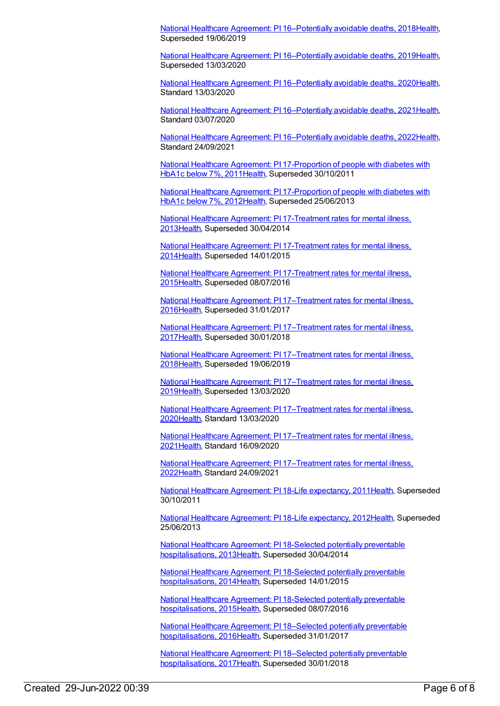National Healthcare Agreement: PI [16–Potentially](https://meteor.aihw.gov.au/content/658503) avoidable deaths, 2018[Health](https://meteor.aihw.gov.au/RegistrationAuthority/12), Superseded 19/06/2019

National Healthcare Agreement: PI [16–Potentially](https://meteor.aihw.gov.au/content/698908) avoidable deaths, 2019[Health](https://meteor.aihw.gov.au/RegistrationAuthority/12), Superseded 13/03/2020

National Healthcare Agreement: PI [16–Potentially](https://meteor.aihw.gov.au/content/716490) avoidable deaths, 2020[Health](https://meteor.aihw.gov.au/RegistrationAuthority/12), Standard 13/03/2020

National Healthcare Agreement: PI [16–Potentially](https://meteor.aihw.gov.au/content/725797) avoidable deaths, 2021[Health](https://meteor.aihw.gov.au/RegistrationAuthority/12), Standard 03/07/2020

National Healthcare Agreement: PI [16–Potentially](https://meteor.aihw.gov.au/content/740864) avoidable deaths, 2022[Health](https://meteor.aihw.gov.au/RegistrationAuthority/12), Standard 24/09/2021

National Healthcare Agreement: PI [17-Proportion](https://meteor.aihw.gov.au/content/402420) of people with diabetes with HbA1c below 7%, 2011[Health,](https://meteor.aihw.gov.au/RegistrationAuthority/12) Superseded 30/10/2011

National Healthcare Agreement: PI [17-Proportion](https://meteor.aihw.gov.au/content/435982) of people with diabetes with HbA1c below 7%, 2012[Health,](https://meteor.aihw.gov.au/RegistrationAuthority/12) Superseded 25/06/2013

National Healthcare Agreement: PI [17-Treatment](https://meteor.aihw.gov.au/content/497236) rates for mental illness, 201[3Health](https://meteor.aihw.gov.au/RegistrationAuthority/12), Superseded 30/04/2014

National Healthcare Agreement: PI [17-Treatment](https://meteor.aihw.gov.au/content/517650) rates for mental illness, 201[4Health](https://meteor.aihw.gov.au/RegistrationAuthority/12), Superseded 14/01/2015

National Healthcare Agreement: PI [17-Treatment](https://meteor.aihw.gov.au/content/559034) rates for mental illness, 201[5Health](https://meteor.aihw.gov.au/RegistrationAuthority/12), Superseded 08/07/2016

National Healthcare Agreement: PI [17–Treatment](https://meteor.aihw.gov.au/content/598748) rates for mental illness, 201[6Health](https://meteor.aihw.gov.au/RegistrationAuthority/12), Superseded 31/01/2017

National Healthcare Agreement: PI [17–Treatment](https://meteor.aihw.gov.au/content/630026) rates for mental illness, 201[7Health](https://meteor.aihw.gov.au/RegistrationAuthority/12), Superseded 30/01/2018

National Healthcare Agreement: PI [17–Treatment](https://meteor.aihw.gov.au/content/658501) rates for mental illness, 201[8Health](https://meteor.aihw.gov.au/RegistrationAuthority/12), Superseded 19/06/2019

National Healthcare Agreement: PI [17–Treatment](https://meteor.aihw.gov.au/content/698906) rates for mental illness, 201[9Health](https://meteor.aihw.gov.au/RegistrationAuthority/12), Superseded 13/03/2020

National Healthcare Agreement: PI [17–Treatment](https://meteor.aihw.gov.au/content/716505) rates for mental illness, 202[0Health](https://meteor.aihw.gov.au/RegistrationAuthority/12), Standard 13/03/2020

National Healthcare Agreement: PI [17–Treatment](https://meteor.aihw.gov.au/content/725795) rates for mental illness, 202[1Health](https://meteor.aihw.gov.au/RegistrationAuthority/12), Standard 16/09/2020

National Healthcare Agreement: PI [17–Treatment](https://meteor.aihw.gov.au/content/740862) rates for mental illness, 202[2Health](https://meteor.aihw.gov.au/RegistrationAuthority/12), Standard 24/09/2021

National Healthcare Agreement: PI 18-Life [expectancy,](https://meteor.aihw.gov.au/content/421657) 2011[Health](https://meteor.aihw.gov.au/RegistrationAuthority/12), Superseded 30/10/2011

National Healthcare Agreement: PI 18-Life [expectancy,](https://meteor.aihw.gov.au/content/443680) 2012[Health](https://meteor.aihw.gov.au/RegistrationAuthority/12), Superseded 25/06/2013

National Healthcare Agreement: PI 18-Selected potentially preventable [hospitalisations,](https://meteor.aihw.gov.au/content/497224) 201[3Health](https://meteor.aihw.gov.au/RegistrationAuthority/12), Superseded 30/04/2014

National Healthcare Agreement: PI 18-Selected potentially preventable [hospitalisations,](https://meteor.aihw.gov.au/content/517648) 201[4Health](https://meteor.aihw.gov.au/RegistrationAuthority/12), Superseded 14/01/2015

National Healthcare Agreement: PI 18-Selected potentially preventable [hospitalisations,](https://meteor.aihw.gov.au/content/559032) 201[5Health](https://meteor.aihw.gov.au/RegistrationAuthority/12), Superseded 08/07/2016

National Healthcare Agreement: PI 18–Selected potentially preventable [hospitalisations,](https://meteor.aihw.gov.au/content/598746) 201[6Health](https://meteor.aihw.gov.au/RegistrationAuthority/12), Superseded 31/01/2017

National Healthcare Agreement: PI 18–Selected potentially preventable [hospitalisations,](https://meteor.aihw.gov.au/content/630028) 2017 Health, Superseded 30/01/2018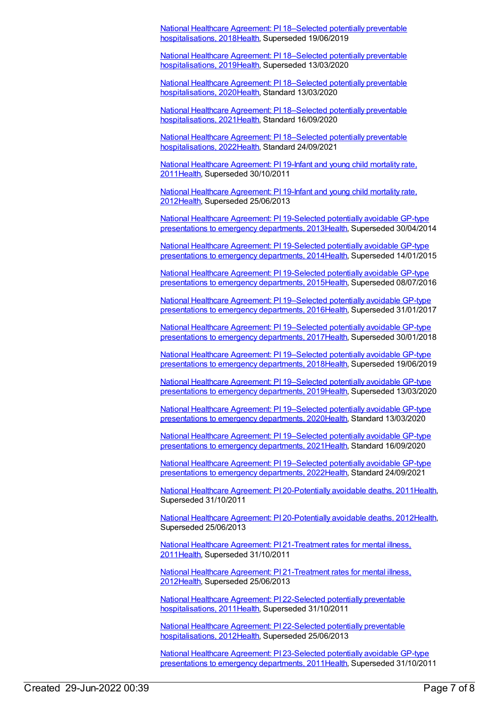National Healthcare Agreement: PI 18–Selected potentially preventable [hospitalisations,](https://meteor.aihw.gov.au/content/658499) 201[8Health](https://meteor.aihw.gov.au/RegistrationAuthority/12), Superseded 19/06/2019

National Healthcare Agreement: PI 18–Selected potentially preventable [hospitalisations,](https://meteor.aihw.gov.au/content/698904) 201[9Health](https://meteor.aihw.gov.au/RegistrationAuthority/12), Superseded 13/03/2020

National Healthcare Agreement: PI 18–Selected potentially preventable [hospitalisations,](https://meteor.aihw.gov.au/content/716530) 202[0Health](https://meteor.aihw.gov.au/RegistrationAuthority/12), Standard 13/03/2020

National Healthcare Agreement: PI 18–Selected potentially preventable [hospitalisations,](https://meteor.aihw.gov.au/content/725793) 202[1Health](https://meteor.aihw.gov.au/RegistrationAuthority/12), Standard 16/09/2020

National Healthcare Agreement: PI 18–Selected potentially preventable [hospitalisations,](https://meteor.aihw.gov.au/content/740851) 202[2Health](https://meteor.aihw.gov.au/RegistrationAuthority/12), Standard 24/09/2021

National Healthcare [Agreement:](https://meteor.aihw.gov.au/content/421655) PI 19-Infant and young child mortality rate, 201[1Health](https://meteor.aihw.gov.au/RegistrationAuthority/12), Superseded 30/10/2011

National Healthcare [Agreement:](https://meteor.aihw.gov.au/content/443683) PI 19-Infant and young child mortality rate, 201[2Health](https://meteor.aihw.gov.au/RegistrationAuthority/12), Superseded 25/06/2013

National Healthcare Agreement: PI [19-Selected](https://meteor.aihw.gov.au/content/497222) potentially avoidable GP-type presentations to emergency departments, 201[3Health](https://meteor.aihw.gov.au/RegistrationAuthority/12), Superseded 30/04/2014

National Healthcare Agreement: PI [19-Selected](https://meteor.aihw.gov.au/content/517646) potentially avoidable GP-type presentations to emergency departments, 201[4Health](https://meteor.aihw.gov.au/RegistrationAuthority/12), Superseded 14/01/2015

National Healthcare Agreement: PI [19-Selected](https://meteor.aihw.gov.au/content/588731) potentially avoidable GP-type presentations to emergency departments, 201[5Health](https://meteor.aihw.gov.au/RegistrationAuthority/12), Superseded 08/07/2016

National Healthcare Agreement: PI [19–Selected](https://meteor.aihw.gov.au/content/598744) potentially avoidable GP-type presentations to emergency departments, 201[6Health](https://meteor.aihw.gov.au/RegistrationAuthority/12), Superseded 31/01/2017

National Healthcare Agreement: PI [19–Selected](https://meteor.aihw.gov.au/content/630030) potentially avoidable GP-type presentations to emergency departments, 2017 Health, Superseded 30/01/2018

National Healthcare Agreement: PI [19–Selected](https://meteor.aihw.gov.au/content/658497) potentially avoidable GP-type presentations to emergency departments, 201[8Health](https://meteor.aihw.gov.au/RegistrationAuthority/12), Superseded 19/06/2019

National Healthcare Agreement: PI [19–Selected](https://meteor.aihw.gov.au/content/698902) potentially avoidable GP-type presentations to emergency departments, 201[9Health](https://meteor.aihw.gov.au/RegistrationAuthority/12), Superseded 13/03/2020

National Healthcare Agreement: PI [19–Selected](https://meteor.aihw.gov.au/content/716537) potentially avoidable GP-type presentations to emergency departments, 202[0Health](https://meteor.aihw.gov.au/RegistrationAuthority/12), Standard 13/03/2020

National Healthcare Agreement: PI [19–Selected](https://meteor.aihw.gov.au/content/725791) potentially avoidable GP-type presentations to emergency departments, 202[1Health](https://meteor.aihw.gov.au/RegistrationAuthority/12), Standard 16/09/2020

National Healthcare Agreement: PI [19–Selected](https://meteor.aihw.gov.au/content/740847) potentially avoidable GP-type presentations to emergency departments, 202[2Health](https://meteor.aihw.gov.au/RegistrationAuthority/12), Standard 24/09/2021

National Healthcare Agreement: PI [20-Potentially](https://meteor.aihw.gov.au/content/421653) avoidable deaths, 2011[Health](https://meteor.aihw.gov.au/RegistrationAuthority/12), Superseded 31/10/2011

National Healthcare Agreement: PI [20-Potentially](https://meteor.aihw.gov.au/content/443685) avoidable deaths, 2012[Health](https://meteor.aihw.gov.au/RegistrationAuthority/12), Superseded 25/06/2013

National Healthcare Agreement: PI [21-Treatment](https://meteor.aihw.gov.au/content/421651) rates for mental illness, 201[1Health](https://meteor.aihw.gov.au/RegistrationAuthority/12), Superseded 31/10/2011

National Healthcare Agreement: PI [21-Treatment](https://meteor.aihw.gov.au/content/441365) rates for mental illness, 201[2Health](https://meteor.aihw.gov.au/RegistrationAuthority/12), Superseded 25/06/2013

National Healthcare Agreement: PI 22-Selected potentially preventable [hospitalisations,](https://meteor.aihw.gov.au/content/421649) 201[1Health](https://meteor.aihw.gov.au/RegistrationAuthority/12), Superseded 31/10/2011

National Healthcare Agreement: PI 22-Selected potentially preventable [hospitalisations,](https://meteor.aihw.gov.au/content/443687) 201[2Health](https://meteor.aihw.gov.au/RegistrationAuthority/12), Superseded 25/06/2013

National Healthcare Agreement: PI [23-Selected](https://meteor.aihw.gov.au/content/421647) potentially avoidable GP-type presentations to emergency departments, 201[1Health](https://meteor.aihw.gov.au/RegistrationAuthority/12), Superseded 31/10/2011